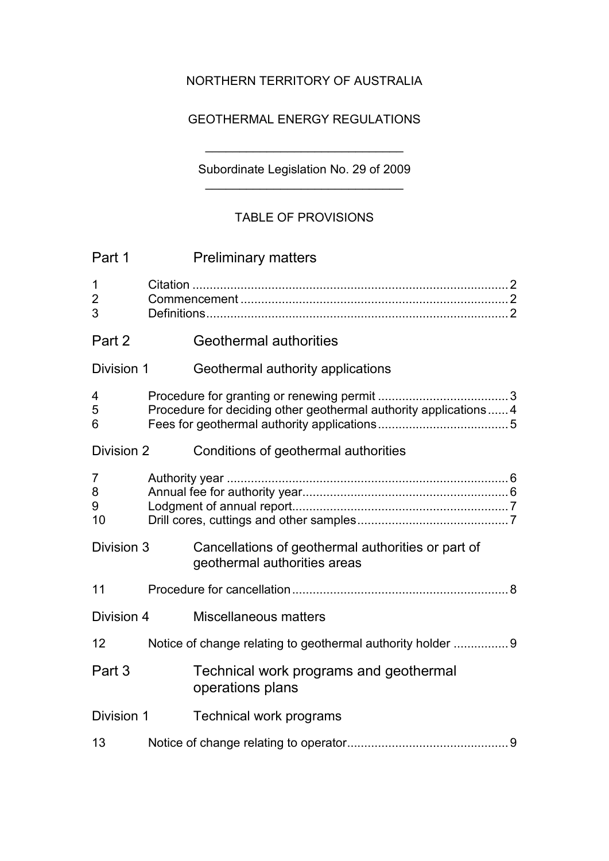## NORTHERN TERRITORY OF AUSTRALIA

## GEOTHERMAL ENERGY REGULATIONS

## Subordinate Legislation No. 29 of 2009 \_\_\_\_\_\_\_\_\_\_\_\_\_\_\_\_\_\_\_\_\_\_\_\_\_\_\_\_\_

\_\_\_\_\_\_\_\_\_\_\_\_\_\_\_\_\_\_\_\_\_\_\_\_\_\_\_\_\_

## TABLE OF PROVISIONS

| Part 1                             | <b>Preliminary matters</b>                                                         |  |
|------------------------------------|------------------------------------------------------------------------------------|--|
| $\mathbf 1$<br>$\overline{2}$<br>3 |                                                                                    |  |
| Part 2                             | <b>Geothermal authorities</b>                                                      |  |
| Division 1                         | Geothermal authority applications                                                  |  |
| 4<br>5<br>6                        | Procedure for deciding other geothermal authority applications 4                   |  |
| Division 2                         | Conditions of geothermal authorities                                               |  |
| $\overline{7}$<br>8<br>9<br>10     |                                                                                    |  |
| Division 3                         | Cancellations of geothermal authorities or part of<br>geothermal authorities areas |  |
| 11                                 |                                                                                    |  |
| Division 4                         | <b>Miscellaneous matters</b>                                                       |  |
| 12                                 | Notice of change relating to geothermal authority holder  9                        |  |
| Part 3                             | Technical work programs and geothermal<br>operations plans                         |  |
| Division 1                         | <b>Technical work programs</b>                                                     |  |
| 13                                 |                                                                                    |  |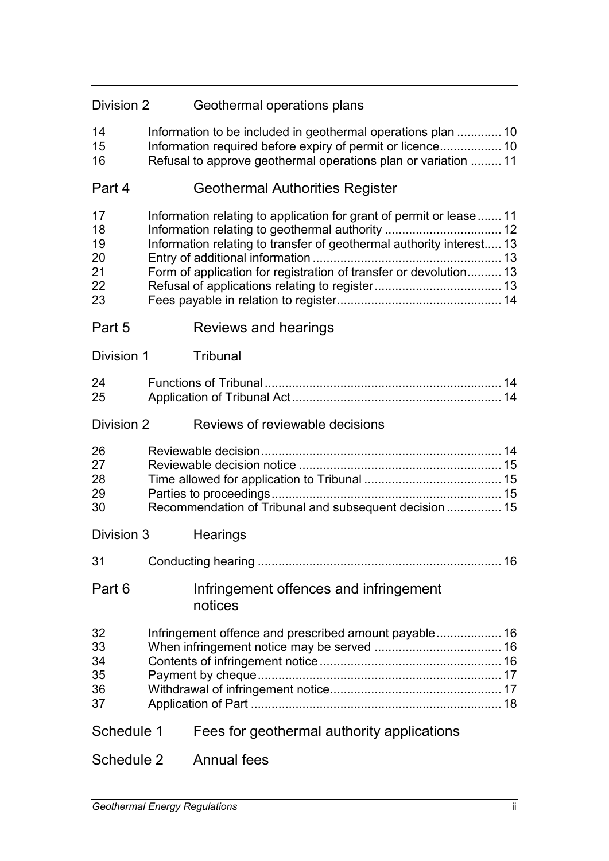| Division 2                             |  | Geothermal operations plans                                                                                                                                                                                      |  |
|----------------------------------------|--|------------------------------------------------------------------------------------------------------------------------------------------------------------------------------------------------------------------|--|
| 14<br>15<br>16                         |  | Information to be included in geothermal operations plan 10<br>Information required before expiry of permit or licence 10<br>Refusal to approve geothermal operations plan or variation  11                      |  |
| Part 4                                 |  | Geothermal Authorities Register                                                                                                                                                                                  |  |
| 17<br>18<br>19<br>20<br>21<br>22<br>23 |  | Information relating to application for grant of permit or lease 11<br>Information relating to transfer of geothermal authority interest 13<br>Form of application for registration of transfer or devolution 13 |  |
| Part 5                                 |  | Reviews and hearings                                                                                                                                                                                             |  |
| Division 1                             |  | <b>Tribunal</b>                                                                                                                                                                                                  |  |
| 24<br>25                               |  |                                                                                                                                                                                                                  |  |
| Division 2                             |  | Reviews of reviewable decisions                                                                                                                                                                                  |  |
| 26<br>27<br>28<br>29<br>30             |  | Recommendation of Tribunal and subsequent decision 15                                                                                                                                                            |  |
| Division 3                             |  | Hearings                                                                                                                                                                                                         |  |
| 31                                     |  |                                                                                                                                                                                                                  |  |
| Part 6                                 |  | Infringement offences and infringement<br>notices                                                                                                                                                                |  |
| 32<br>33<br>34<br>35<br>36<br>37       |  | Infringement offence and prescribed amount payable 16                                                                                                                                                            |  |
| Schedule 1                             |  | Fees for geothermal authority applications                                                                                                                                                                       |  |
| Schedule 2                             |  | <b>Annual fees</b>                                                                                                                                                                                               |  |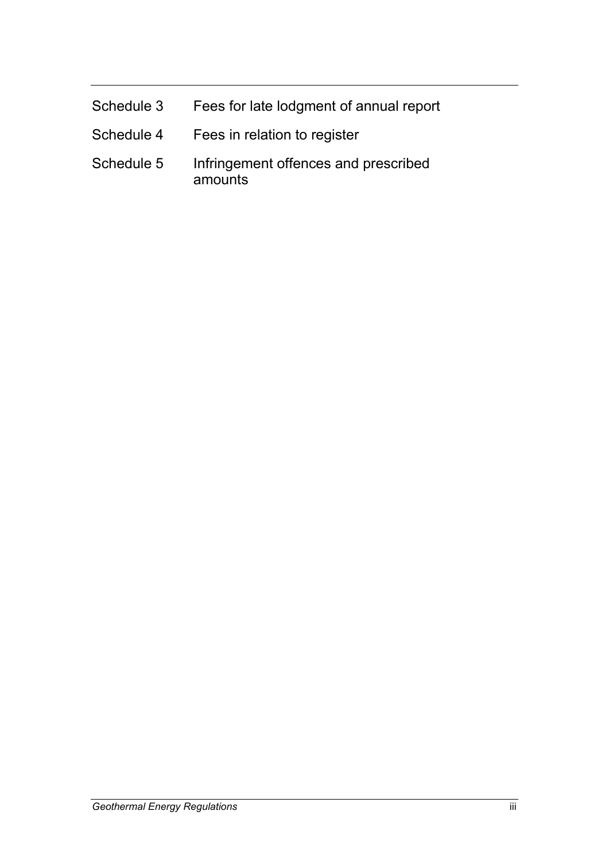| Schedule 3 | Fees for late lodgment of annual report         |
|------------|-------------------------------------------------|
| Schedule 4 | Fees in relation to register                    |
| Schedule 5 | Infringement offences and prescribed<br>amounts |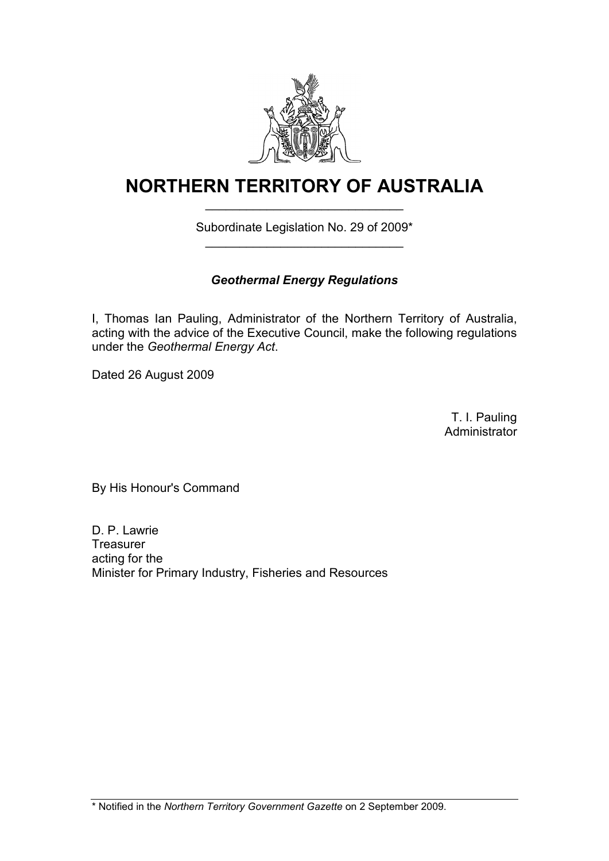

# **NORTHERN TERRITORY OF AUSTRALIA** \_\_\_\_\_\_\_\_\_\_\_\_\_\_\_\_\_\_\_\_\_\_\_\_\_\_\_\_\_

## Subordinate Legislation No. 29 of 2009\* \_\_\_\_\_\_\_\_\_\_\_\_\_\_\_\_\_\_\_\_\_\_\_\_\_\_\_\_\_

## *Geothermal Energy Regulations*

I, Thomas Ian Pauling, Administrator of the Northern Territory of Australia, acting with the advice of the Executive Council, make the following regulations under the *Geothermal Energy Act*.

Dated 26 August 2009

T. I. Pauling **Administrator** 

By His Honour's Command

D. P. Lawrie **Treasurer** acting for the Minister for Primary Industry, Fisheries and Resources

\* Notified in the *Northern Territory Government Gazette* on 2 September 2009.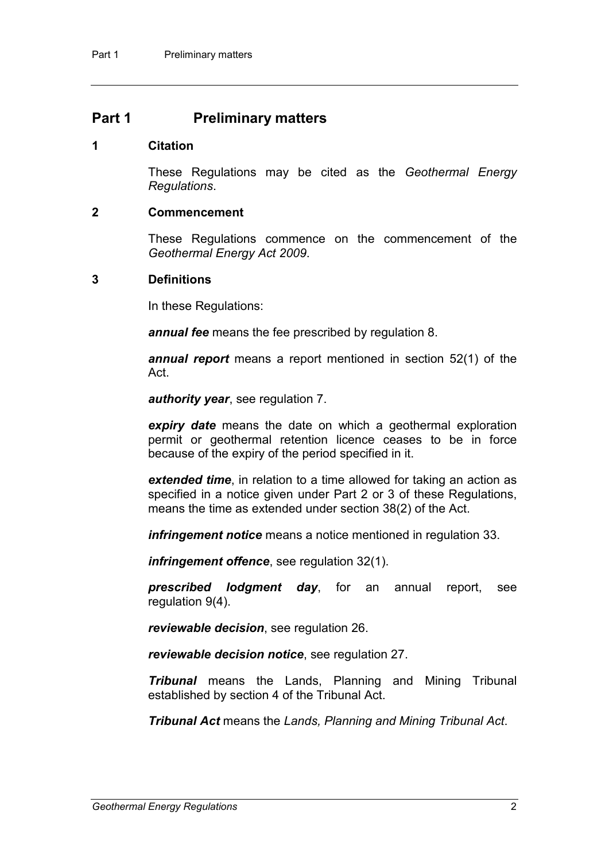## **Part 1 Preliminary matters**

#### **1 Citation**

These Regulations may be cited as the *Geothermal Energy Regulations*.

#### **2 Commencement**

These Regulations commence on the commencement of the *Geothermal Energy Act 2009*.

#### **3 Definitions**

In these Regulations:

*annual fee* means the fee prescribed by regulation 8.

*annual report* means a report mentioned in section 52(1) of the Act.

*authority year*, see regulation [7.](#page-9-0)

*expiry date* means the date on which a geothermal exploration permit or geothermal retention licence ceases to be in force because of the expiry of the period specified in it.

*extended time*, in relation to a time allowed for taking an action as specified in a notice given under Part 2 or 3 of these Regulations, means the time as extended under section 38(2) of the Act.

*infringement notice* means a notice mentioned in regulation [33.](#page-19-0)

*infringement offence*, see regulation [32\(](#page-19-1)1).

*prescribed lodgment day*, for an annual report, see regulation [9\(](#page-10-0)4).

*reviewable decision*, see regulation [26.](#page-17-0)

*reviewable decision notice*, see regulation [27.](#page-18-0)

*Tribunal* means the Lands, Planning and Mining Tribunal established by section 4 of the Tribunal Act.

*Tribunal Act* means the *Lands, Planning and Mining Tribunal Act*.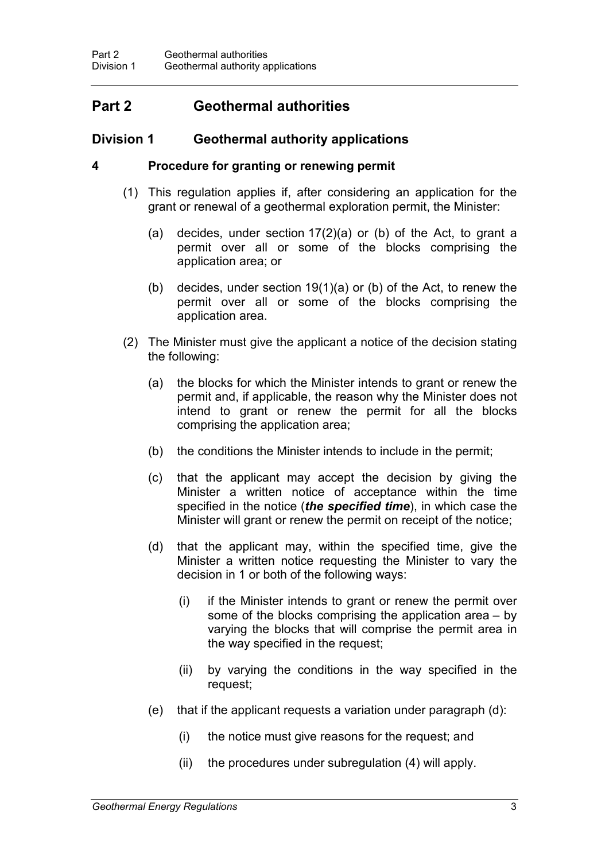## **Part 2 Geothermal authorities**

## **Division 1 Geothermal authority applications**

### **4 Procedure for granting or renewing permit**

- (1) This regulation applies if, after considering an application for the grant or renewal of a geothermal exploration permit, the Minister:
	- (a) decides, under section 17(2)(a) or (b) of the Act, to grant a permit over all or some of the blocks comprising the application area; or
	- (b) decides, under section 19(1)(a) or (b) of the Act, to renew the permit over all or some of the blocks comprising the application area.
- (2) The Minister must give the applicant a notice of the decision stating the following:
	- (a) the blocks for which the Minister intends to grant or renew the permit and, if applicable, the reason why the Minister does not intend to grant or renew the permit for all the blocks comprising the application area;
	- (b) the conditions the Minister intends to include in the permit;
	- (c) that the applicant may accept the decision by giving the Minister a written notice of acceptance within the time specified in the notice (*the specified time*), in which case the Minister will grant or renew the permit on receipt of the notice;
	- (d) that the applicant may, within the specified time, give the Minister a written notice requesting the Minister to vary the decision in 1 or both of the following ways:
		- (i) if the Minister intends to grant or renew the permit over some of the blocks comprising the application area – by varying the blocks that will comprise the permit area in the way specified in the request;
		- (ii) by varying the conditions in the way specified in the request;
	- (e) that if the applicant requests a variation under paragraph (d):
		- (i) the notice must give reasons for the request; and
		- (ii) the procedures under subregulation (4) will apply.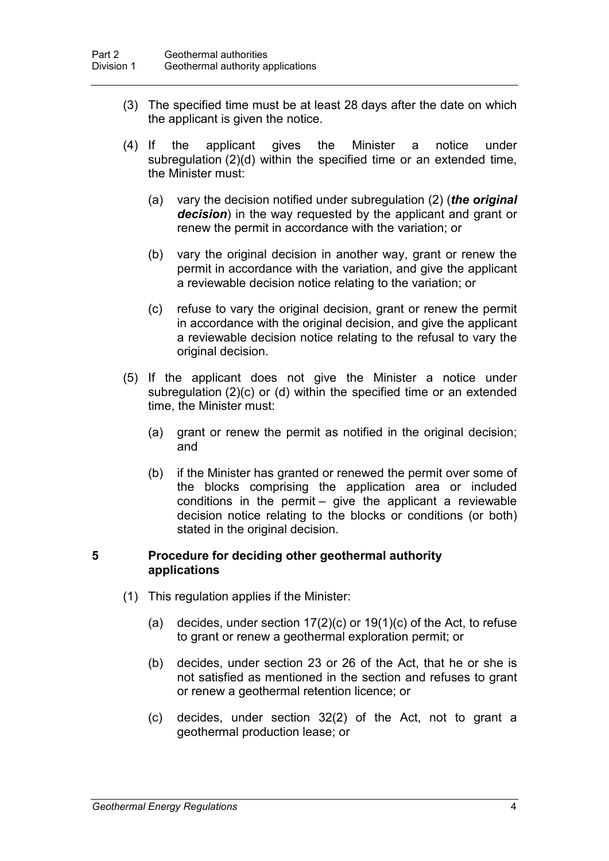- (3) The specified time must be at least 28 days after the date on which the applicant is given the notice.
- (4) If the applicant gives the Minister a notice under subregulation (2)(d) within the specified time or an extended time, the Minister must:
	- (a) vary the decision notified under subregulation (2) (*the original decision*) in the way requested by the applicant and grant or renew the permit in accordance with the variation; or
	- (b) vary the original decision in another way, grant or renew the permit in accordance with the variation, and give the applicant a reviewable decision notice relating to the variation; or
	- (c) refuse to vary the original decision, grant or renew the permit in accordance with the original decision, and give the applicant a reviewable decision notice relating to the refusal to vary the original decision.
- (5) If the applicant does not give the Minister a notice under subregulation (2)(c) or (d) within the specified time or an extended time, the Minister must:
	- (a) grant or renew the permit as notified in the original decision; and
	- (b) if the Minister has granted or renewed the permit over some of the blocks comprising the application area or included conditions in the permit – give the applicant a reviewable decision notice relating to the blocks or conditions (or both) stated in the original decision.

#### **5 Procedure for deciding other geothermal authority applications**

- (1) This regulation applies if the Minister:
	- (a) decides, under section  $17(2)(c)$  or  $19(1)(c)$  of the Act, to refuse to grant or renew a geothermal exploration permit; or
	- (b) decides, under section 23 or 26 of the Act, that he or she is not satisfied as mentioned in the section and refuses to grant or renew a geothermal retention licence; or
	- (c) decides, under section 32(2) of the Act, not to grant a geothermal production lease; or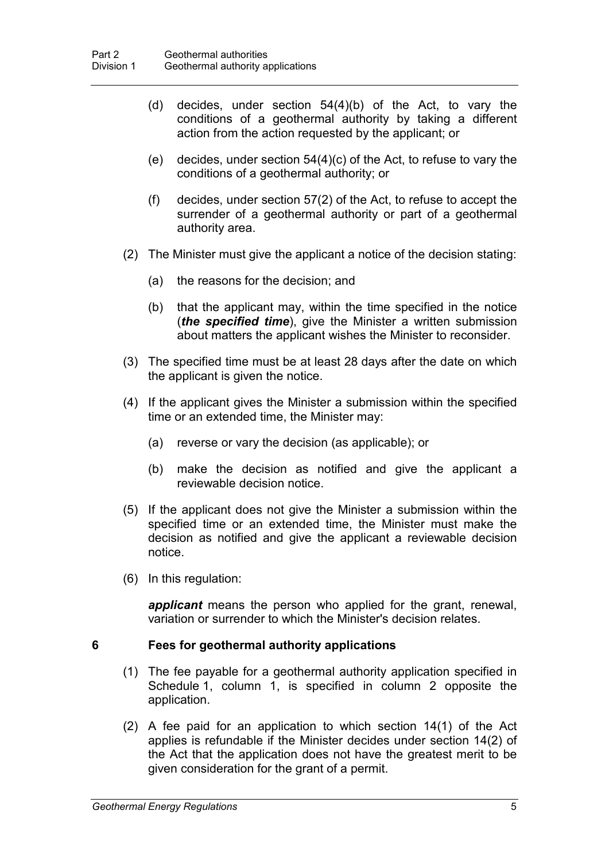- (d) decides, under section 54(4)(b) of the Act, to vary the conditions of a geothermal authority by taking a different action from the action requested by the applicant; or
- (e) decides, under section  $54(4)(c)$  of the Act, to refuse to vary the conditions of a geothermal authority; or
- (f) decides, under section 57(2) of the Act, to refuse to accept the surrender of a geothermal authority or part of a geothermal authority area.
- (2) The Minister must give the applicant a notice of the decision stating:
	- (a) the reasons for the decision; and
	- (b) that the applicant may, within the time specified in the notice (*the specified time*), give the Minister a written submission about matters the applicant wishes the Minister to reconsider.
- (3) The specified time must be at least 28 days after the date on which the applicant is given the notice.
- (4) If the applicant gives the Minister a submission within the specified time or an extended time, the Minister may:
	- (a) reverse or vary the decision (as applicable); or
	- (b) make the decision as notified and give the applicant a reviewable decision notice.
- (5) If the applicant does not give the Minister a submission within the specified time or an extended time, the Minister must make the decision as notified and give the applicant a reviewable decision notice.
- (6) In this regulation:

*applicant* means the person who applied for the grant, renewal, variation or surrender to which the Minister's decision relates.

#### <span id="page-8-0"></span>**6 Fees for geothermal authority applications**

- (1) The fee payable for a geothermal authority application specified in Schedule 1, column 1, is specified in column 2 opposite the application.
- (2) A fee paid for an application to which section 14(1) of the Act applies is refundable if the Minister decides under section 14(2) of the Act that the application does not have the greatest merit to be given consideration for the grant of a permit.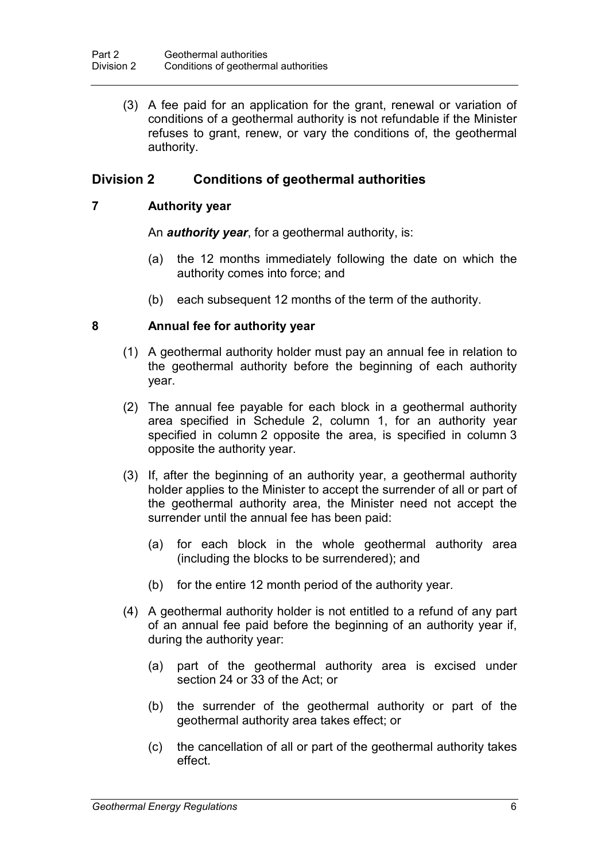(3) A fee paid for an application for the grant, renewal or variation of conditions of a geothermal authority is not refundable if the Minister refuses to grant, renew, or vary the conditions of, the geothermal authority.

## **Division 2 Conditions of geothermal authorities**

### **7 Authority year**

<span id="page-9-0"></span>An *authority year*, for a geothermal authority, is:

- (a) the 12 months immediately following the date on which the authority comes into force; and
- (b) each subsequent 12 months of the term of the authority.

### <span id="page-9-1"></span>**8 Annual fee for authority year**

- (1) A geothermal authority holder must pay an annual fee in relation to the geothermal authority before the beginning of each authority year.
- (2) The annual fee payable for each block in a geothermal authority area specified in Schedule 2, column 1, for an authority year specified in column 2 opposite the area, is specified in column 3 opposite the authority year.
- (3) If, after the beginning of an authority year, a geothermal authority holder applies to the Minister to accept the surrender of all or part of the geothermal authority area, the Minister need not accept the surrender until the annual fee has been paid:
	- (a) for each block in the whole geothermal authority area (including the blocks to be surrendered); and
	- (b) for the entire 12 month period of the authority year.
- (4) A geothermal authority holder is not entitled to a refund of any part of an annual fee paid before the beginning of an authority year if, during the authority year:
	- (a) part of the geothermal authority area is excised under section 24 or 33 of the Act; or
	- (b) the surrender of the geothermal authority or part of the geothermal authority area takes effect; or
	- (c) the cancellation of all or part of the geothermal authority takes effect.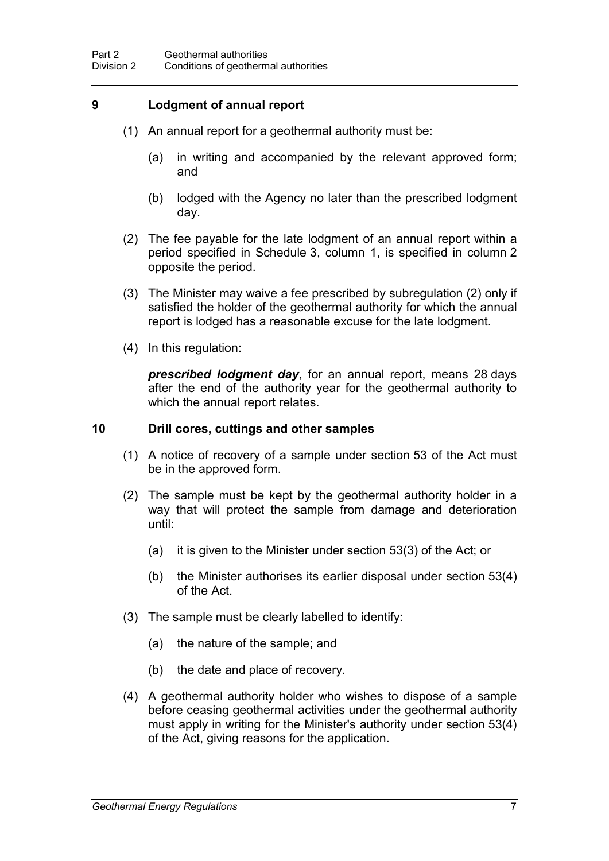#### <span id="page-10-0"></span>**9 Lodgment of annual report**

- (1) An annual report for a geothermal authority must be:
	- (a) in writing and accompanied by the relevant approved form; and
	- (b) lodged with the Agency no later than the prescribed lodgment day.
- (2) The fee payable for the late lodgment of an annual report within a period specified in Schedule 3, column 1, is specified in column 2 opposite the period.
- (3) The Minister may waive a fee prescribed by subregulation (2) only if satisfied the holder of the geothermal authority for which the annual report is lodged has a reasonable excuse for the late lodgment.
- (4) In this regulation:

*prescribed lodgment day*, for an annual report, means 28 days after the end of the authority year for the geothermal authority to which the annual report relates.

#### **10 Drill cores, cuttings and other samples**

- (1) A notice of recovery of a sample under section 53 of the Act must be in the approved form.
- (2) The sample must be kept by the geothermal authority holder in a way that will protect the sample from damage and deterioration until:
	- (a) it is given to the Minister under section 53(3) of the Act; or
	- (b) the Minister authorises its earlier disposal under section 53(4) of the Act.
- (3) The sample must be clearly labelled to identify:
	- (a) the nature of the sample; and
	- (b) the date and place of recovery.
- (4) A geothermal authority holder who wishes to dispose of a sample before ceasing geothermal activities under the geothermal authority must apply in writing for the Minister's authority under section 53(4) of the Act, giving reasons for the application.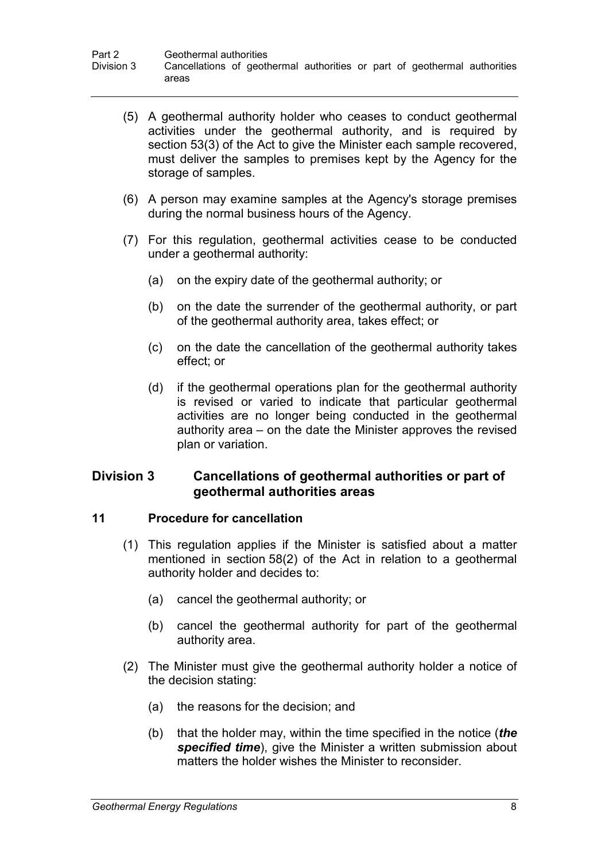- (5) A geothermal authority holder who ceases to conduct geothermal activities under the geothermal authority, and is required by section 53(3) of the Act to give the Minister each sample recovered, must deliver the samples to premises kept by the Agency for the storage of samples.
- (6) A person may examine samples at the Agency's storage premises during the normal business hours of the Agency.
- (7) For this regulation, geothermal activities cease to be conducted under a geothermal authority:
	- (a) on the expiry date of the geothermal authority; or
	- (b) on the date the surrender of the geothermal authority, or part of the geothermal authority area, takes effect; or
	- (c) on the date the cancellation of the geothermal authority takes effect; or
	- (d) if the geothermal operations plan for the geothermal authority is revised or varied to indicate that particular geothermal activities are no longer being conducted in the geothermal authority area – on the date the Minister approves the revised plan or variation.

### **Division 3 Cancellations of geothermal authorities or part of geothermal authorities areas**

#### **11 Procedure for cancellation**

- (1) This regulation applies if the Minister is satisfied about a matter mentioned in section 58(2) of the Act in relation to a geothermal authority holder and decides to:
	- (a) cancel the geothermal authority; or
	- (b) cancel the geothermal authority for part of the geothermal authority area.
- (2) The Minister must give the geothermal authority holder a notice of the decision stating:
	- (a) the reasons for the decision; and
	- (b) that the holder may, within the time specified in the notice (*the specified time*), give the Minister a written submission about matters the holder wishes the Minister to reconsider.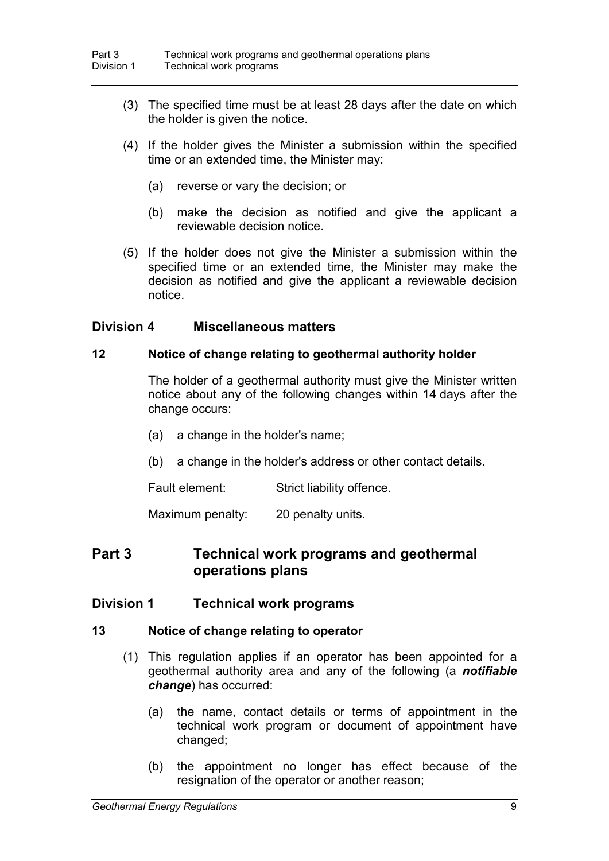- (3) The specified time must be at least 28 days after the date on which the holder is given the notice.
- (4) If the holder gives the Minister a submission within the specified time or an extended time, the Minister may:
	- (a) reverse or vary the decision; or
	- (b) make the decision as notified and give the applicant a reviewable decision notice.
- (5) If the holder does not give the Minister a submission within the specified time or an extended time, the Minister may make the decision as notified and give the applicant a reviewable decision notice.

### **Division 4 Miscellaneous matters**

#### **12 Notice of change relating to geothermal authority holder**

<span id="page-12-0"></span>The holder of a geothermal authority must give the Minister written notice about any of the following changes within 14 days after the change occurs:

- (a) a change in the holder's name;
- (b) a change in the holder's address or other contact details.

Fault element: Strict liability offence.

Maximum penalty: 20 penalty units.

## **Part 3 Technical work programs and geothermal operations plans**

#### **Division 1 Technical work programs**

#### **13 Notice of change relating to operator**

- <span id="page-12-1"></span>(1) This regulation applies if an operator has been appointed for a geothermal authority area and any of the following (a *notifiable change*) has occurred:
	- (a) the name, contact details or terms of appointment in the technical work program or document of appointment have changed;
	- (b) the appointment no longer has effect because of the resignation of the operator or another reason;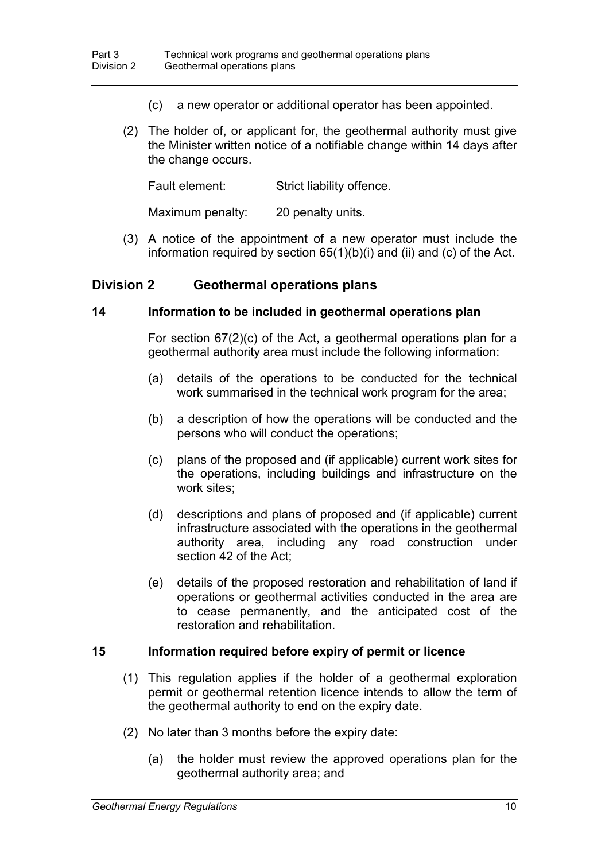- (c) a new operator or additional operator has been appointed.
- (2) The holder of, or applicant for, the geothermal authority must give the Minister written notice of a notifiable change within 14 days after the change occurs.

Fault element: Strict liability offence.

Maximum penalty: 20 penalty units.

(3) A notice of the appointment of a new operator must include the information required by section  $65(1)(b)(i)$  and (ii) and (c) of the Act.

### **Division 2 Geothermal operations plans**

#### **14 Information to be included in geothermal operations plan**

For section 67(2)(c) of the Act, a geothermal operations plan for a geothermal authority area must include the following information:

- (a) details of the operations to be conducted for the technical work summarised in the technical work program for the area;
- (b) a description of how the operations will be conducted and the persons who will conduct the operations;
- (c) plans of the proposed and (if applicable) current work sites for the operations, including buildings and infrastructure on the work sites;
- (d) descriptions and plans of proposed and (if applicable) current infrastructure associated with the operations in the geothermal authority area, including any road construction under section 42 of the Act;
- (e) details of the proposed restoration and rehabilitation of land if operations or geothermal activities conducted in the area are to cease permanently, and the anticipated cost of the restoration and rehabilitation.

#### **15 Information required before expiry of permit or licence**

- (1) This regulation applies if the holder of a geothermal exploration permit or geothermal retention licence intends to allow the term of the geothermal authority to end on the expiry date.
- (2) No later than 3 months before the expiry date:
	- (a) the holder must review the approved operations plan for the geothermal authority area; and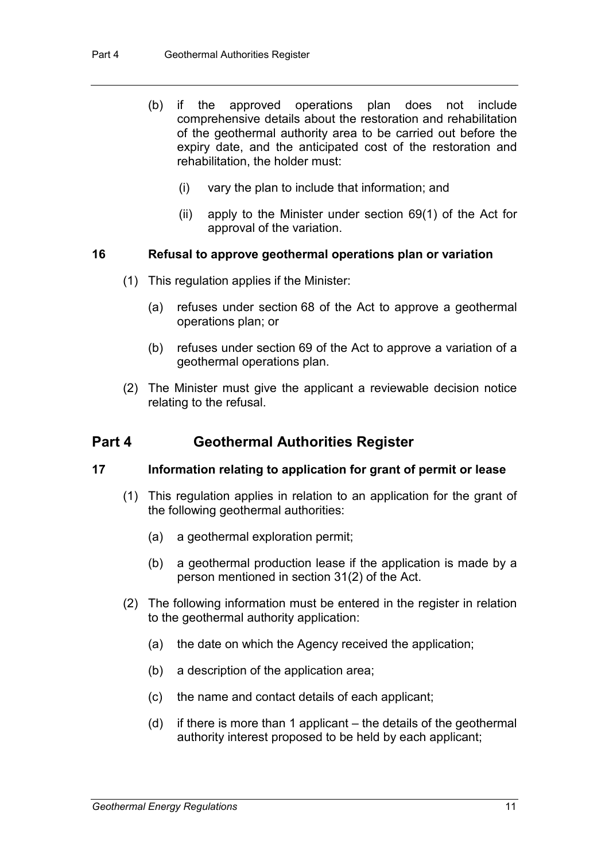- (b) if the approved operations plan does not include comprehensive details about the restoration and rehabilitation of the geothermal authority area to be carried out before the expiry date, and the anticipated cost of the restoration and rehabilitation, the holder must:
	- (i) vary the plan to include that information; and
	- (ii) apply to the Minister under section 69(1) of the Act for approval of the variation.

#### **16 Refusal to approve geothermal operations plan or variation**

- (1) This regulation applies if the Minister:
	- (a) refuses under section 68 of the Act to approve a geothermal operations plan; or
	- (b) refuses under section 69 of the Act to approve a variation of a geothermal operations plan.
- (2) The Minister must give the applicant a reviewable decision notice relating to the refusal.

## **Part 4 Geothermal Authorities Register**

#### **17 Information relating to application for grant of permit or lease**

- <span id="page-14-0"></span>(1) This regulation applies in relation to an application for the grant of the following geothermal authorities:
	- (a) a geothermal exploration permit;
	- (b) a geothermal production lease if the application is made by a person mentioned in section 31(2) of the Act.
- (2) The following information must be entered in the register in relation to the geothermal authority application:
	- (a) the date on which the Agency received the application;
	- (b) a description of the application area;
	- (c) the name and contact details of each applicant;
	- (d) if there is more than 1 applicant the details of the geothermal authority interest proposed to be held by each applicant;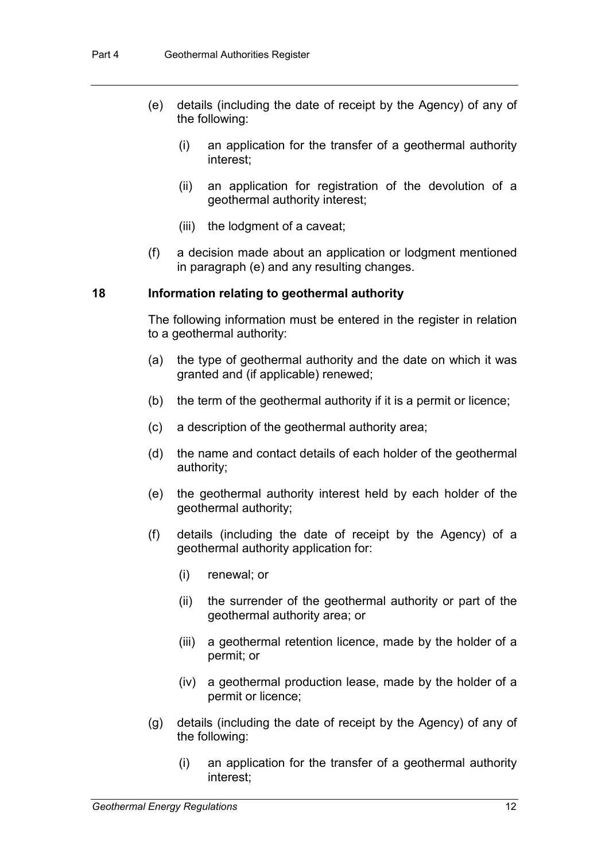- (e) details (including the date of receipt by the Agency) of any of the following:
	- (i) an application for the transfer of a geothermal authority interest;
	- (ii) an application for registration of the devolution of a geothermal authority interest;
	- (iii) the lodgment of a caveat;
- (f) a decision made about an application or lodgment mentioned in paragraph (e) and any resulting changes.

#### <span id="page-15-0"></span>**18 Information relating to geothermal authority**

The following information must be entered in the register in relation to a geothermal authority:

- (a) the type of geothermal authority and the date on which it was granted and (if applicable) renewed;
- (b) the term of the geothermal authority if it is a permit or licence;
- (c) a description of the geothermal authority area;
- (d) the name and contact details of each holder of the geothermal authority;
- (e) the geothermal authority interest held by each holder of the geothermal authority;
- (f) details (including the date of receipt by the Agency) of a geothermal authority application for:
	- (i) renewal; or
	- (ii) the surrender of the geothermal authority or part of the geothermal authority area; or
	- (iii) a geothermal retention licence, made by the holder of a permit; or
	- (iv) a geothermal production lease, made by the holder of a permit or licence;
- (g) details (including the date of receipt by the Agency) of any of the following:
	- (i) an application for the transfer of a geothermal authority interest;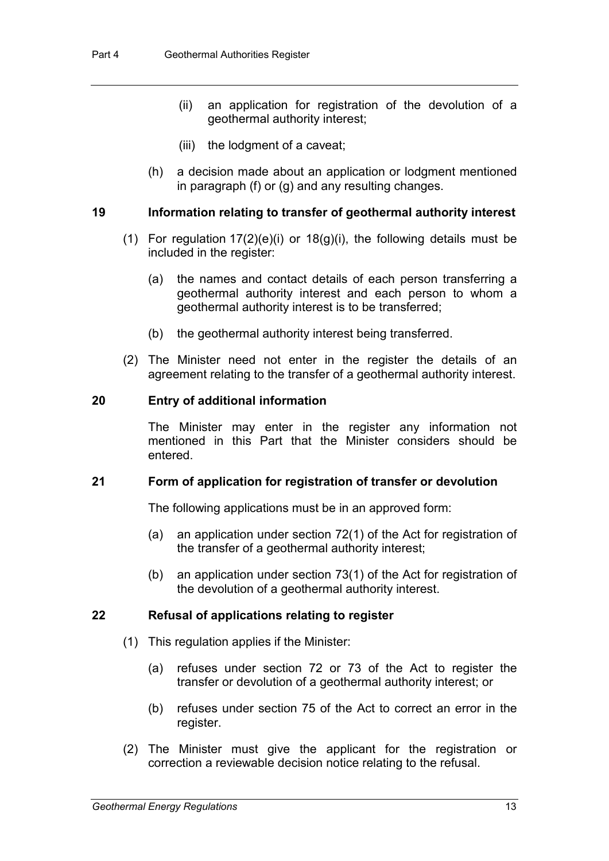- (ii) an application for registration of the devolution of a geothermal authority interest;
- (iii) the lodgment of a caveat;
- (h) a decision made about an application or lodgment mentioned in paragraph (f) or (g) and any resulting changes.

#### **19 Information relating to transfer of geothermal authority interest**

- (1) For regulation  $17(2)(e)(i)$  $17(2)(e)(i)$  or  $18(g)(i)$  $18(g)(i)$ , the following details must be included in the register:
	- (a) the names and contact details of each person transferring a geothermal authority interest and each person to whom a geothermal authority interest is to be transferred;
	- (b) the geothermal authority interest being transferred.
- (2) The Minister need not enter in the register the details of an agreement relating to the transfer of a geothermal authority interest.

#### **20 Entry of additional information**

The Minister may enter in the register any information not mentioned in this Part that the Minister considers should be entered.

#### **21 Form of application for registration of transfer or devolution**

The following applications must be in an approved form:

- (a) an application under section 72(1) of the Act for registration of the transfer of a geothermal authority interest;
- (b) an application under section 73(1) of the Act for registration of the devolution of a geothermal authority interest.

#### **22 Refusal of applications relating to register**

- (1) This regulation applies if the Minister:
	- (a) refuses under section 72 or 73 of the Act to register the transfer or devolution of a geothermal authority interest; or
	- (b) refuses under section 75 of the Act to correct an error in the register.
- (2) The Minister must give the applicant for the registration or correction a reviewable decision notice relating to the refusal.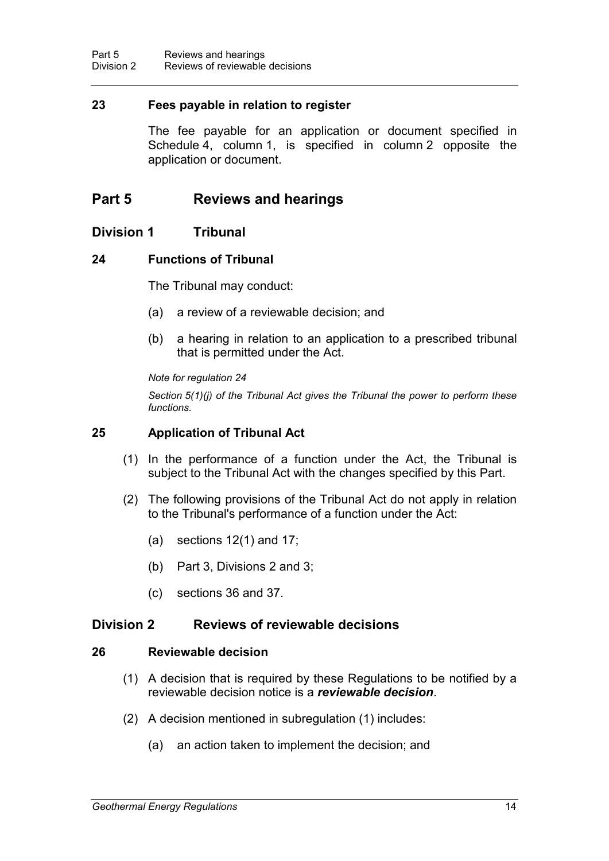#### <span id="page-17-3"></span>**23 Fees payable in relation to register**

The fee payable for an application or document specified in Schedule 4, column 1, is specified in column 2 opposite the application or document.

## **Part 5 Reviews and hearings**

#### **Division 1 Tribunal**

#### **24 Functions of Tribunal**

<span id="page-17-1"></span>The Tribunal may conduct:

- (a) a review of a reviewable decision; and
- (b) a hearing in relation to an application to a prescribed tribunal that is permitted under the Act.

*Note for regulation [24](#page-17-1)*

*Section 5(1)(j) of the Tribunal Act gives the Tribunal the power to perform these functions.*

#### <span id="page-17-2"></span>**25 Application of Tribunal Act**

- (1) In the performance of a function under the Act, the Tribunal is subject to the Tribunal Act with the changes specified by this Part.
- (2) The following provisions of the Tribunal Act do not apply in relation to the Tribunal's performance of a function under the Act:
	- (a) sections  $12(1)$  and  $17$ ;
	- (b) Part 3, Divisions 2 and 3;
	- (c) sections 36 and 37.

### **Division 2 Reviews of reviewable decisions**

#### **26 Reviewable decision**

- <span id="page-17-0"></span>(1) A decision that is required by these Regulations to be notified by a reviewable decision notice is a *reviewable decision*.
- (2) A decision mentioned in subregulation (1) includes:
	- (a) an action taken to implement the decision; and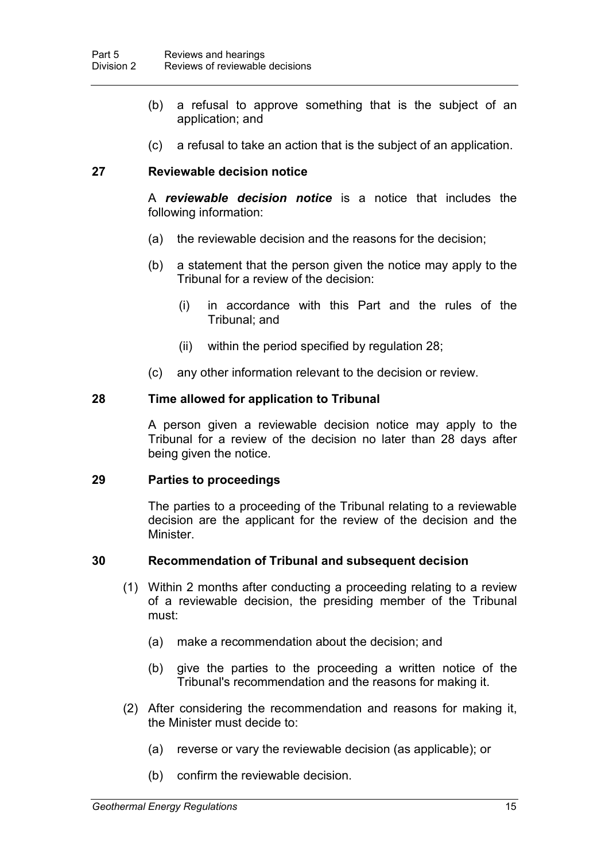- (b) a refusal to approve something that is the subject of an application; and
- (c) a refusal to take an action that is the subject of an application.

### <span id="page-18-0"></span>**27 Reviewable decision notice**

A *reviewable decision notice* is a notice that includes the following information:

- (a) the reviewable decision and the reasons for the decision;
- (b) a statement that the person given the notice may apply to the Tribunal for a review of the decision:
	- (i) in accordance with this Part and the rules of the Tribunal; and
	- (ii) within the period specified by regulation [28;](#page-18-1)
- (c) any other information relevant to the decision or review.

#### <span id="page-18-1"></span>**28 Time allowed for application to Tribunal**

A person given a reviewable decision notice may apply to the Tribunal for a review of the decision no later than 28 days after being given the notice.

#### **29 Parties to proceedings**

The parties to a proceeding of the Tribunal relating to a reviewable decision are the applicant for the review of the decision and the **Minister** 

#### **30 Recommendation of Tribunal and subsequent decision**

- (1) Within 2 months after conducting a proceeding relating to a review of a reviewable decision, the presiding member of the Tribunal must:
	- (a) make a recommendation about the decision; and
	- (b) give the parties to the proceeding a written notice of the Tribunal's recommendation and the reasons for making it.
- (2) After considering the recommendation and reasons for making it, the Minister must decide to:
	- (a) reverse or vary the reviewable decision (as applicable); or
	- (b) confirm the reviewable decision.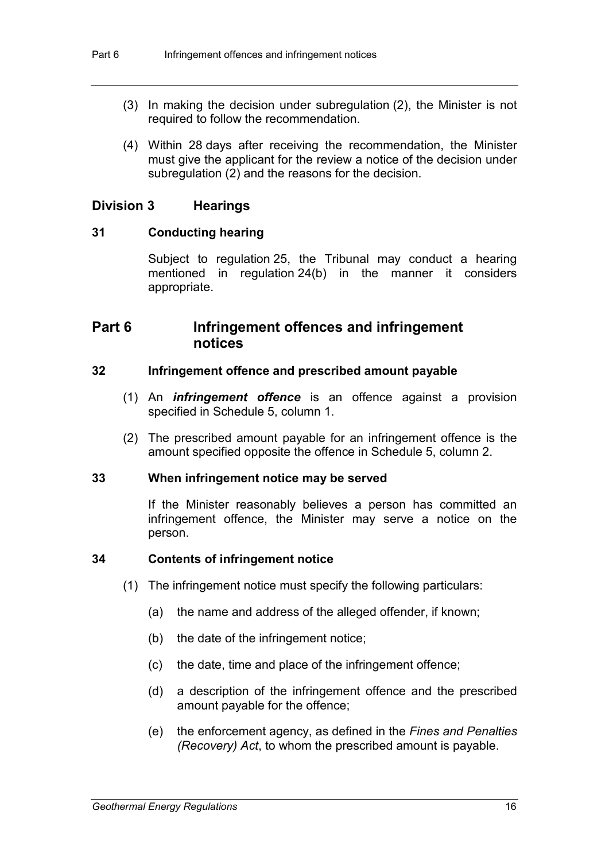- (3) In making the decision under subregulation (2), the Minister is not required to follow the recommendation.
- (4) Within 28 days after receiving the recommendation, the Minister must give the applicant for the review a notice of the decision under subregulation (2) and the reasons for the decision.

#### **Division 3 Hearings**

#### **31 Conducting hearing**

Subject to regulation [25,](#page-17-2) the Tribunal may conduct a hearing mentioned in regulation [24\(](#page-17-1)b) in the manner it considers appropriate.

## **Part 6 Infringement offences and infringement notices**

#### **32 Infringement offence and prescribed amount payable**

- <span id="page-19-1"></span>(1) An *infringement offence* is an offence against a provision specified in Schedule 5, column 1.
- (2) The prescribed amount payable for an infringement offence is the amount specified opposite the offence in Schedule 5, column 2.

#### <span id="page-19-0"></span>**33 When infringement notice may be served**

If the Minister reasonably believes a person has committed an infringement offence, the Minister may serve a notice on the person.

#### **34 Contents of infringement notice**

- (1) The infringement notice must specify the following particulars:
	- (a) the name and address of the alleged offender, if known;
	- (b) the date of the infringement notice;
	- (c) the date, time and place of the infringement offence;
	- (d) a description of the infringement offence and the prescribed amount payable for the offence;
	- (e) the enforcement agency, as defined in the *Fines and Penalties (Recovery) Act*, to whom the prescribed amount is payable.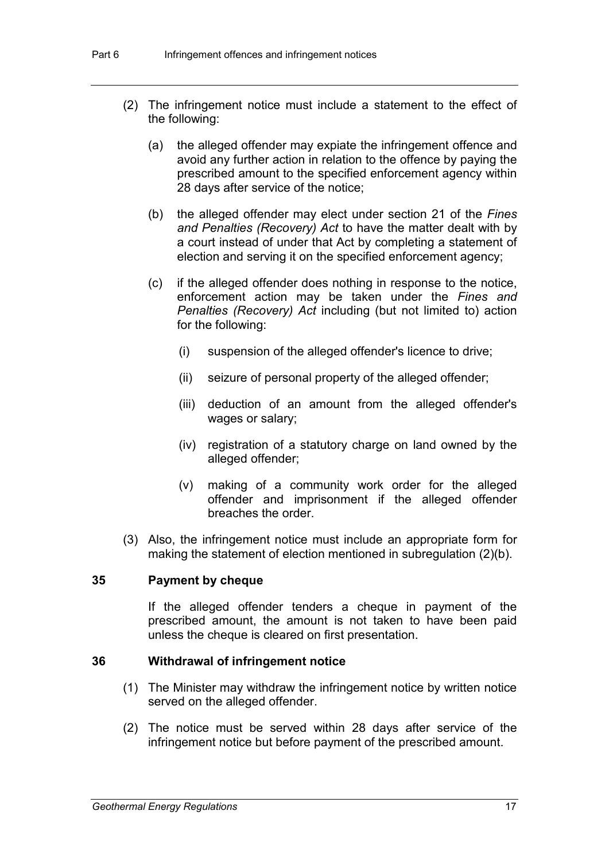- (2) The infringement notice must include a statement to the effect of the following:
	- (a) the alleged offender may expiate the infringement offence and avoid any further action in relation to the offence by paying the prescribed amount to the specified enforcement agency within 28 days after service of the notice;
	- (b) the alleged offender may elect under section 21 of the *Fines and Penalties (Recovery) Act* to have the matter dealt with by a court instead of under that Act by completing a statement of election and serving it on the specified enforcement agency;
	- (c) if the alleged offender does nothing in response to the notice, enforcement action may be taken under the *Fines and Penalties (Recovery) Act* including (but not limited to) action for the following:
		- (i) suspension of the alleged offender's licence to drive;
		- (ii) seizure of personal property of the alleged offender;
		- (iii) deduction of an amount from the alleged offender's wages or salary;
		- (iv) registration of a statutory charge on land owned by the alleged offender;
		- (v) making of a community work order for the alleged offender and imprisonment if the alleged offender breaches the order.
- (3) Also, the infringement notice must include an appropriate form for making the statement of election mentioned in subregulation (2)(b).

#### **35 Payment by cheque**

If the alleged offender tenders a cheque in payment of the prescribed amount, the amount is not taken to have been paid unless the cheque is cleared on first presentation.

#### **36 Withdrawal of infringement notice**

- (1) The Minister may withdraw the infringement notice by written notice served on the alleged offender.
- (2) The notice must be served within 28 days after service of the infringement notice but before payment of the prescribed amount.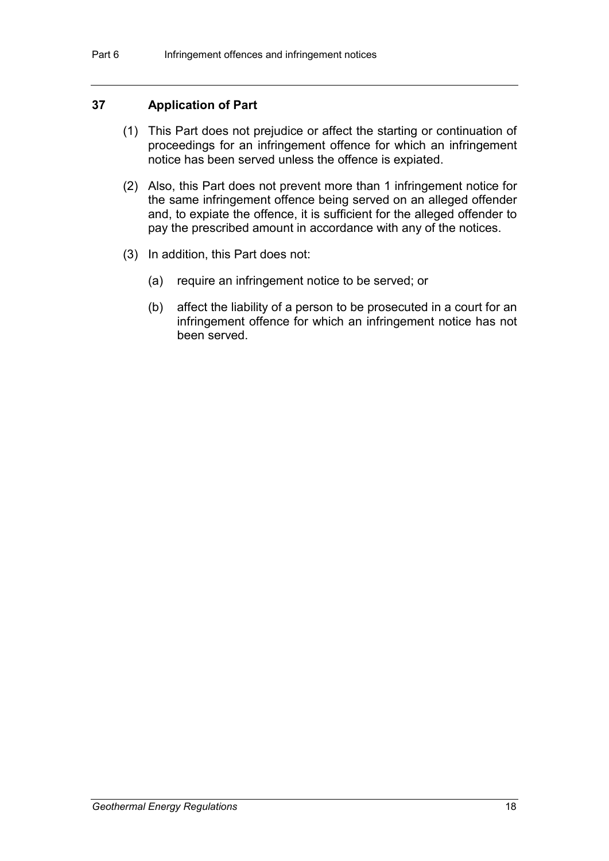#### **37 Application of Part**

- (1) This Part does not prejudice or affect the starting or continuation of proceedings for an infringement offence for which an infringement notice has been served unless the offence is expiated.
- (2) Also, this Part does not prevent more than 1 infringement notice for the same infringement offence being served on an alleged offender and, to expiate the offence, it is sufficient for the alleged offender to pay the prescribed amount in accordance with any of the notices.
- (3) In addition, this Part does not:
	- (a) require an infringement notice to be served; or
	- (b) affect the liability of a person to be prosecuted in a court for an infringement offence for which an infringement notice has not been served.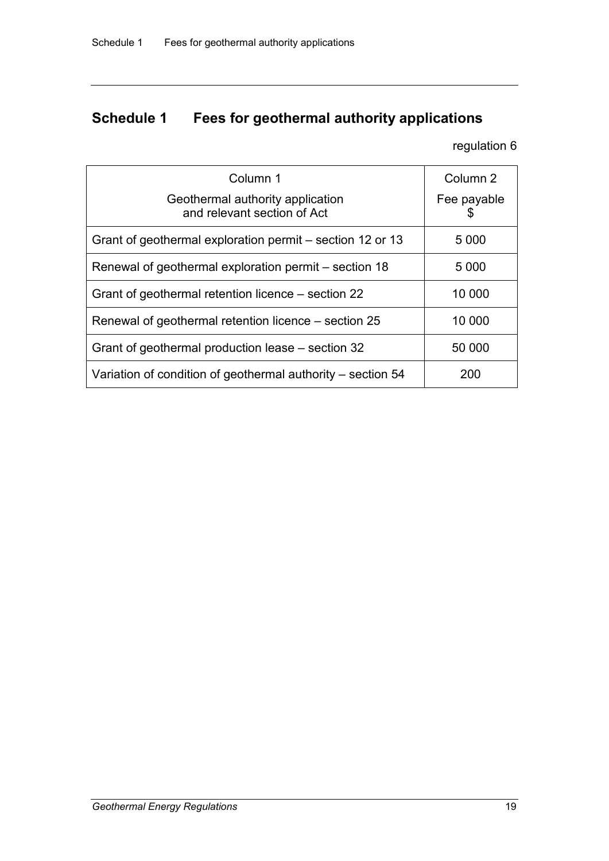# **Schedule 1 Fees for geothermal authority applications**

regulation [6](#page-8-0)

| Column 1<br>Geothermal authority application<br>and relevant section of Act | Column <sub>2</sub><br>Fee payable<br>S |
|-----------------------------------------------------------------------------|-----------------------------------------|
| Grant of geothermal exploration permit – section 12 or 13                   | 5 0 0 0                                 |
| Renewal of geothermal exploration permit – section 18                       | 5 0 0 0                                 |
| Grant of geothermal retention licence – section 22                          | 10 000                                  |
| Renewal of geothermal retention licence – section 25                        | 10 000                                  |
| Grant of geothermal production lease – section 32                           | 50 000                                  |
| Variation of condition of geothermal authority - section 54                 | 200                                     |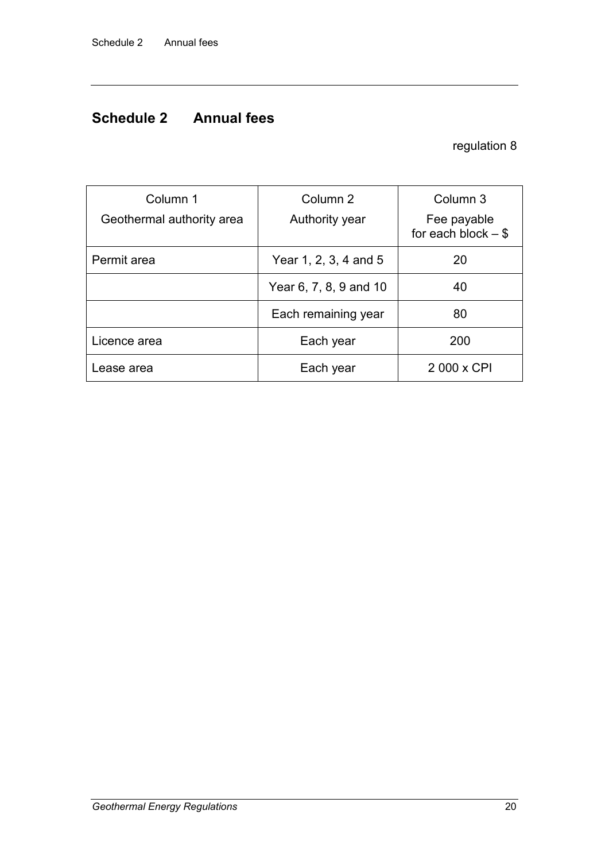## **Schedule 2 Annual fees**

## regulation [8](#page-9-1)

| Column 1<br>Geothermal authority area | Column <sub>2</sub><br>Authority year | Column 3<br>Fee payable<br>for each block $-$ \$ |
|---------------------------------------|---------------------------------------|--------------------------------------------------|
| Permit area                           | Year 1, 2, 3, 4 and 5                 | 20                                               |
|                                       | Year 6, 7, 8, 9 and 10                | 40                                               |
|                                       | Each remaining year                   | 80                                               |
| Licence area                          | Each year                             | 200                                              |
| Lease area                            | Each year                             | 2 000 x CPI                                      |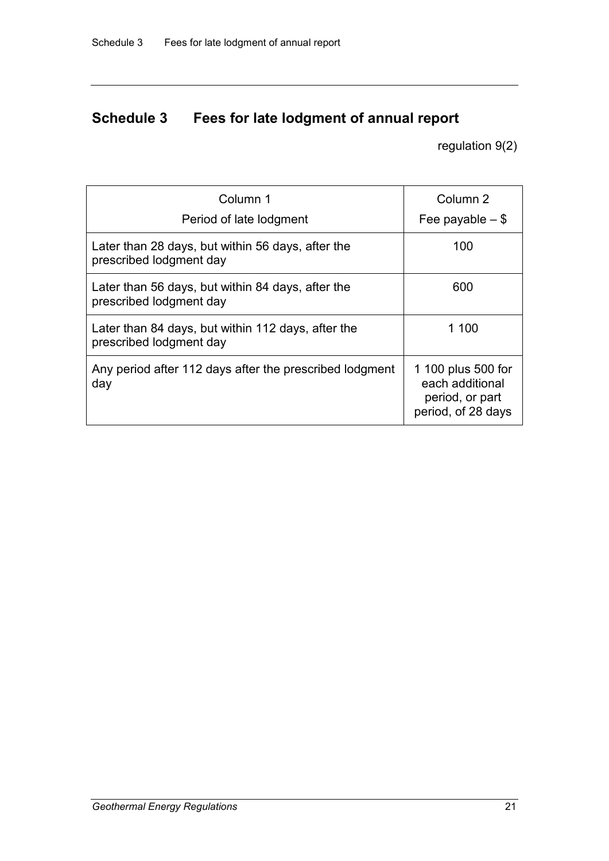# **Schedule 3 Fees for late lodgment of annual report**

regulation [9\(](#page-10-0)2)

| Column 1                                                                      | Column <sub>2</sub>                                                            |
|-------------------------------------------------------------------------------|--------------------------------------------------------------------------------|
| Period of late lodgment                                                       | Fee payable $-$ \$                                                             |
| Later than 28 days, but within 56 days, after the<br>prescribed lodgment day  | 100                                                                            |
| Later than 56 days, but within 84 days, after the<br>prescribed lodgment day  | 600                                                                            |
| Later than 84 days, but within 112 days, after the<br>prescribed lodgment day | 1 100                                                                          |
| Any period after 112 days after the prescribed lodgment<br>day                | 1 100 plus 500 for<br>each additional<br>period, or part<br>period, of 28 days |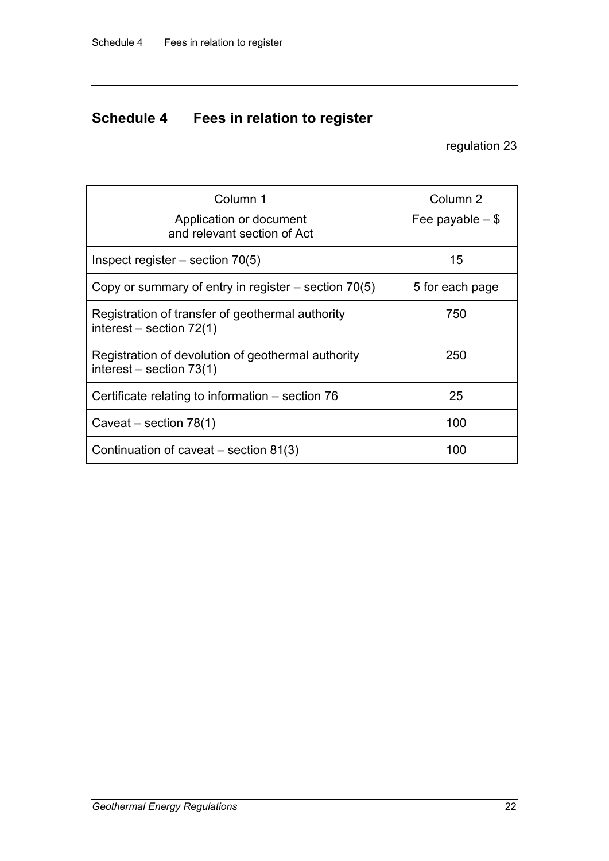# **Schedule 4 Fees in relation to register**

regulation [23](#page-17-3)

| Column 1                                                                         | Column 2           |
|----------------------------------------------------------------------------------|--------------------|
| Application or document<br>and relevant section of Act                           | Fee payable $-$ \$ |
| Inspect register $-$ section 70(5)                                               | 15                 |
| Copy or summary of entry in register $-$ section 70(5)                           | 5 for each page    |
| Registration of transfer of geothermal authority<br>interest – section $72(1)$   | 750                |
| Registration of devolution of geothermal authority<br>interest – section $73(1)$ | 250                |
| Certificate relating to information - section 76                                 | 25                 |
| Caveat – section $78(1)$                                                         | 100                |
| Continuation of caveat $-$ section 81(3)                                         | 100                |